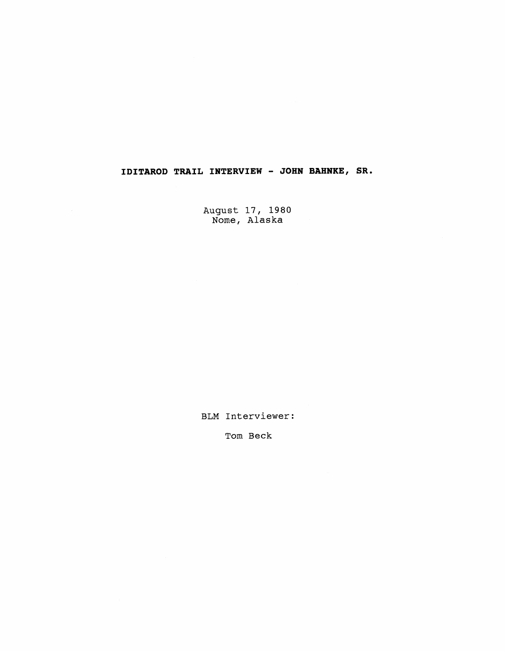## **IDITAROD TRAIL INTERVIEW** - **JOHN BAHNKE, SR.**

August 17, 1980 Nome, Alaska

BLM Interviewer:

Tom Beck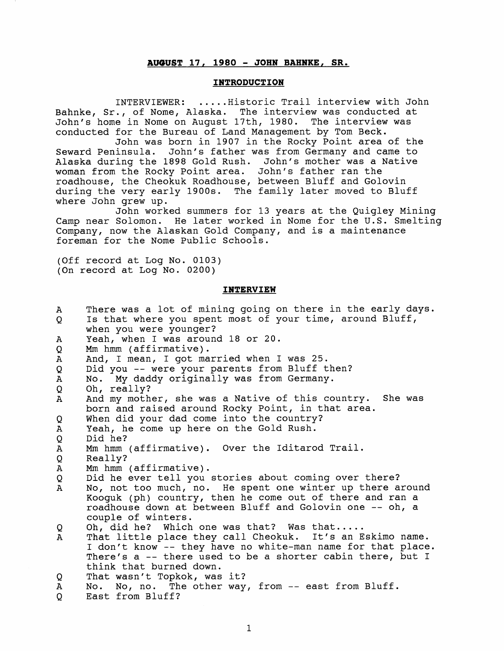## **AWUST 17, 1980** - **JOHN BAHNKE, SR.**

## **INTRODUCTION**

INTERVIEWER: ..... Historic Trail interview with John Bahnke, Sr., of Nome, Alaska. The interview was conducted at John's home in Nome on August 17th, 1980. The interview was conducted for the Bureau of Land Management by Tom Beck.

John was born in 1907 in the Rocky Point area of the Seward Peninsula. John's father was from Germany and came to Alaska during the 1898 Gold Rush. John's mother was a Native woman from the Rocky Point area. John's father ran the roadhouse, the Cheokuk Roadhouse, between Bluff and Golovin during the very early 1900s. The family later moved to Bluff where John grew up.

John worked summers for 13 years at the Quigley Mining Camp near Solomon. He later worked in Nome for the U.S. Smelting Company, now the Alaskan Gold Company, and is a maintenance foreman for the Nome Public Schools.

(Off record at Log No. 0103) (On record at Log No. 0200)

## **INTERVIEW**

| $\mathbf{A}$ | There was a lot of mining going on there in the early days. |
|--------------|-------------------------------------------------------------|
| Q            | Is that where you spent most of your time, around Bluff,    |
|              | when you were younger?                                      |
| $\mathbf{A}$ | Yeah, when I was around 18 or 20.                           |
| Q            | Mm hmm (affirmative).                                       |
| $\mathbf A$  | And, I mean, I got married when I was 25.                   |
| Q            | Did you -- were your parents from Bluff then?               |
| $\mathbf A$  | No. My daddy originally was from Germany.                   |
| Q            | Oh, really?                                                 |
| A            | And my mother, she was a Native of this country. She was    |
|              | born and raised around Rocky Point, in that area.           |
| Q            | When did your dad come into the country?                    |
| Α            | Yeah, he come up here on the Gold Rush.                     |
| Q            | Did he?                                                     |
| $\mathbf{A}$ | Mm hmm (affirmative). Over the Iditarod Trail.              |
| Q            | Really?                                                     |
| $\mathbf{A}$ | Mm hmm (affirmative).                                       |
| Q            | Did he ever tell you stories about coming over there?       |
| $\mathbf{A}$ | No, not too much, no. He spent one winter up there around   |
|              | Kooquk (ph) country, then he come out of there and ran a    |
|              | roadhouse down at between Bluff and Golovin one -- oh, a    |
|              | couple of winters.                                          |
| Q            | Oh, did he? Which one was that? Was that                    |
| $\mathbf{A}$ | That little place they call Cheokuk. It's an Eskimo name.   |
|              | I don't know -- they have no white-man name for that place. |
|              | There's a -- there used to be a shorter cabin there, but I  |
|              | think that burned down.                                     |
| Q            | That wasn't Topkok, was it?                                 |
| A            | No, no. The other way, from -- east from Bluff.<br>No.      |
| Q            | East from Bluff?                                            |